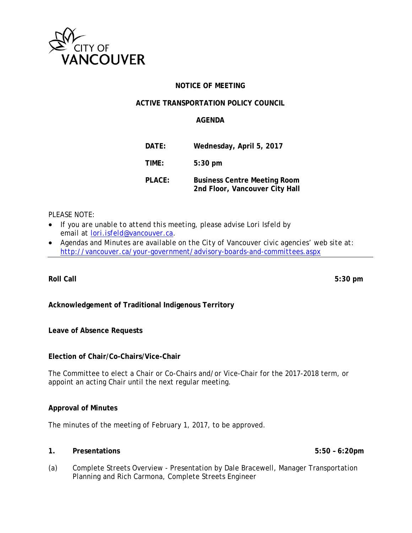

# **NOTICE OF MEETING**

## **ACTIVE TRANSPORTATION POLICY COUNCIL**

### **AGENDA**

| DATE:  | Wednesday, April 5, 2017                                              |
|--------|-----------------------------------------------------------------------|
| TIME:  | $5:30$ pm                                                             |
| PLACE: | <b>Business Centre Meeting Room</b><br>2nd Floor, Vancouver City Hall |

# *PLEASE NOTE:*

- *If you are unable to attend this meeting, please advise Lori Isfeld by email at lori.isfeld@vancouver.ca.*
- *Agendas and Minutes are available on the City of Vancouver civic agencies' web site at: http://vancouver.ca/your-government/advisory-boards-and-committees.aspx*

**Roll Call 5:30 pm** 

# **Acknowledgement of Traditional Indigenous Territory**

**Leave of Absence Requests** 

#### **Election of Chair/Co-Chairs/Vice-Chair**

The Committee to elect a Chair or Co-Chairs and/or Vice-Chair for the 2017-2018 term, or appoint an acting Chair until the next regular meeting.

#### **Approval of Minutes**

The minutes of the meeting of February 1, 2017, to be approved.

#### **1. Presentations 5:50 – 6:20pm**

(a) Complete Streets Overview - Presentation by Dale Bracewell, Manager Transportation Planning and Rich Carmona, Complete Streets Engineer